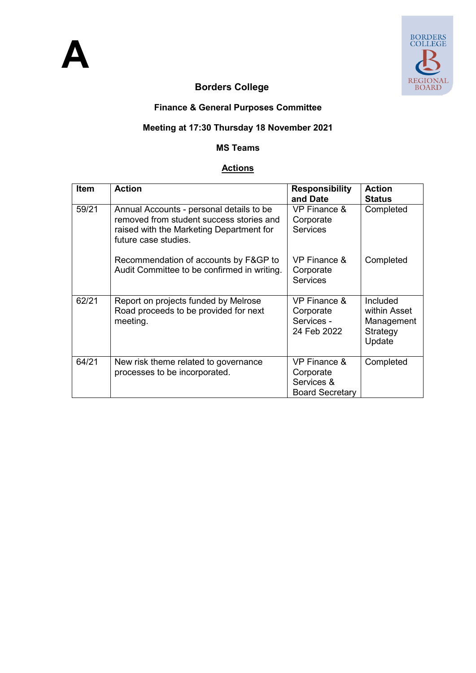

## **Borders College**

#### **Finance & General Purposes Committee**

#### **Meeting at 17:30 Thursday 18 November 2021**

#### **MS Teams**

#### **Actions**

| <b>Item</b> | <b>Action</b>                                                                                                                                            | <b>Responsibility</b><br>and Date                                 | <b>Action</b><br><b>Status</b>                               |
|-------------|----------------------------------------------------------------------------------------------------------------------------------------------------------|-------------------------------------------------------------------|--------------------------------------------------------------|
| 59/21       | Annual Accounts - personal details to be<br>removed from student success stories and<br>raised with the Marketing Department for<br>future case studies. | VP Finance &<br>Corporate<br><b>Services</b>                      | Completed                                                    |
|             | Recommendation of accounts by F&GP to<br>Audit Committee to be confirmed in writing.                                                                     | VP Finance &<br>Corporate<br><b>Services</b>                      | Completed                                                    |
| 62/21       | Report on projects funded by Melrose<br>Road proceeds to be provided for next<br>meeting.                                                                | <b>VP Finance &amp;</b><br>Corporate<br>Services -<br>24 Feb 2022 | Included<br>within Asset<br>Management<br>Strategy<br>Update |
| 64/21       | New risk theme related to governance<br>processes to be incorporated.                                                                                    | VP Finance &<br>Corporate<br>Services &<br><b>Board Secretary</b> | Completed                                                    |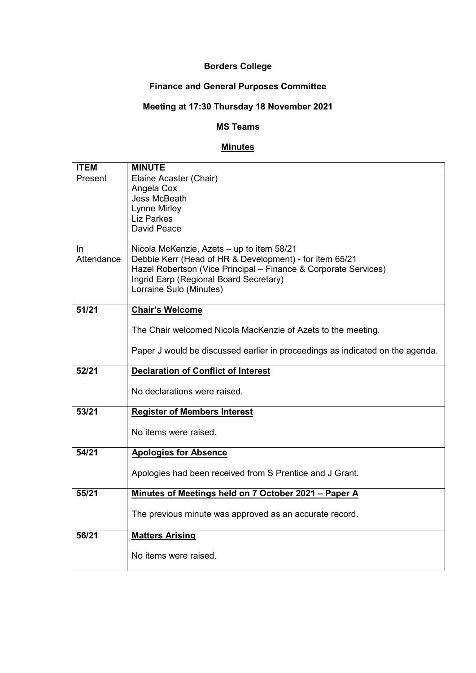#### **Borders College**

### **Finance and General Purposes Committee**

# **Meeting at 17:30 Thursday 18 November 2021**

#### **MS Teams**

#### **Minutes**

| <b>ITEM</b> | <b>MINUTE</b>                                                                 |
|-------------|-------------------------------------------------------------------------------|
| Present     | Elaine Acaster (Chair)                                                        |
|             | Angela Cox                                                                    |
|             | Jess McBeath                                                                  |
|             | Lynne Mirley                                                                  |
|             | <b>Liz Parkes</b>                                                             |
|             | David Peace                                                                   |
| In.         | Nicola McKenzie, Azets - up to item 58/21                                     |
| Attendance  | Debbie Kerr (Head of HR & Development) - for item 65/21                       |
|             | Hazel Robertson (Vice Principal - Finance & Corporate Services)               |
|             | Ingrid Earp (Regional Board Secretary)                                        |
|             | Lorraine Sulo (Minutes)                                                       |
|             |                                                                               |
| 51/21       | <b>Chair's Welcome</b>                                                        |
|             |                                                                               |
|             | The Chair welcomed Nicola MacKenzie of Azets to the meeting.                  |
|             | Paper J would be discussed earlier in proceedings as indicated on the agenda. |
|             |                                                                               |
| 52/21       | <b>Declaration of Conflict of Interest</b>                                    |
|             |                                                                               |
|             |                                                                               |
|             | No declarations were raised.                                                  |
| 53/21       | <b>Register of Members Interest</b>                                           |
|             |                                                                               |
|             | No items were raised.                                                         |
|             |                                                                               |
| 54/21       | <b>Apologies for Absence</b>                                                  |
|             |                                                                               |
|             | Apologies had been received from S Prentice and J Grant.                      |
| 55/21       |                                                                               |
|             | Minutes of Meetings held on 7 October 2021 - Paper A                          |
|             | The previous minute was approved as an accurate record.                       |
|             |                                                                               |
| 56/21       | <b>Matters Arising</b>                                                        |
|             | No items were raised.                                                         |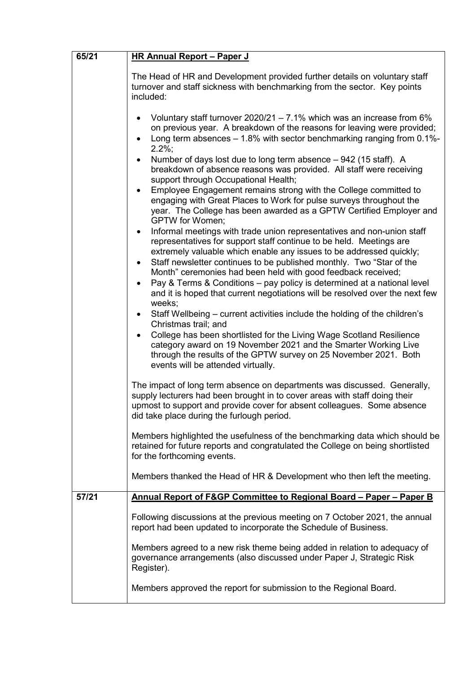| 65/21 | <b>HR Annual Report - Paper J</b>                                                                                                                                                                                                                                                                                                                                                                                                                                                                                                                                                                                                                                                                                                                                                                                                                                                                                       |
|-------|-------------------------------------------------------------------------------------------------------------------------------------------------------------------------------------------------------------------------------------------------------------------------------------------------------------------------------------------------------------------------------------------------------------------------------------------------------------------------------------------------------------------------------------------------------------------------------------------------------------------------------------------------------------------------------------------------------------------------------------------------------------------------------------------------------------------------------------------------------------------------------------------------------------------------|
|       | The Head of HR and Development provided further details on voluntary staff<br>turnover and staff sickness with benchmarking from the sector. Key points<br>included:                                                                                                                                                                                                                                                                                                                                                                                                                                                                                                                                                                                                                                                                                                                                                    |
|       | Voluntary staff turnover 2020/21 - 7.1% which was an increase from 6%<br>on previous year. A breakdown of the reasons for leaving were provided;<br>Long term absences - 1.8% with sector benchmarking ranging from 0.1%-<br>$2.2\%$ ;<br>Number of days lost due to long term absence - 942 (15 staff). A<br>$\bullet$<br>breakdown of absence reasons was provided. All staff were receiving<br>support through Occupational Health;<br>Employee Engagement remains strong with the College committed to<br>engaging with Great Places to Work for pulse surveys throughout the<br>year. The College has been awarded as a GPTW Certified Employer and<br><b>GPTW</b> for Women;<br>Informal meetings with trade union representatives and non-union staff<br>$\bullet$<br>representatives for support staff continue to be held. Meetings are<br>extremely valuable which enable any issues to be addressed quickly; |
|       | Staff newsletter continues to be published monthly. Two "Star of the<br>$\bullet$<br>Month" ceremonies had been held with good feedback received;<br>Pay & Terms & Conditions - pay policy is determined at a national level<br>$\bullet$<br>and it is hoped that current negotiations will be resolved over the next few<br>weeks;                                                                                                                                                                                                                                                                                                                                                                                                                                                                                                                                                                                     |
|       | Staff Wellbeing – current activities include the holding of the children's<br>$\bullet$<br>Christmas trail; and<br>College has been shortlisted for the Living Wage Scotland Resilience<br>category award on 19 November 2021 and the Smarter Working Live<br>through the results of the GPTW survey on 25 November 2021. Both<br>events will be attended virtually.                                                                                                                                                                                                                                                                                                                                                                                                                                                                                                                                                    |
|       | The impact of long term absence on departments was discussed. Generally,<br>supply lecturers had been brought in to cover areas with staff doing their<br>upmost to support and provide cover for absent colleagues. Some absence<br>did take place during the furlough period.                                                                                                                                                                                                                                                                                                                                                                                                                                                                                                                                                                                                                                         |
|       | Members highlighted the usefulness of the benchmarking data which should be<br>retained for future reports and congratulated the College on being shortlisted<br>for the forthcoming events.                                                                                                                                                                                                                                                                                                                                                                                                                                                                                                                                                                                                                                                                                                                            |
|       | Members thanked the Head of HR & Development who then left the meeting.                                                                                                                                                                                                                                                                                                                                                                                                                                                                                                                                                                                                                                                                                                                                                                                                                                                 |
| 57/21 | Annual Report of F&GP Committee to Regional Board - Paper - Paper B                                                                                                                                                                                                                                                                                                                                                                                                                                                                                                                                                                                                                                                                                                                                                                                                                                                     |
|       | Following discussions at the previous meeting on 7 October 2021, the annual<br>report had been updated to incorporate the Schedule of Business.                                                                                                                                                                                                                                                                                                                                                                                                                                                                                                                                                                                                                                                                                                                                                                         |
|       | Members agreed to a new risk theme being added in relation to adequacy of<br>governance arrangements (also discussed under Paper J, Strategic Risk<br>Register).                                                                                                                                                                                                                                                                                                                                                                                                                                                                                                                                                                                                                                                                                                                                                        |
|       | Members approved the report for submission to the Regional Board.                                                                                                                                                                                                                                                                                                                                                                                                                                                                                                                                                                                                                                                                                                                                                                                                                                                       |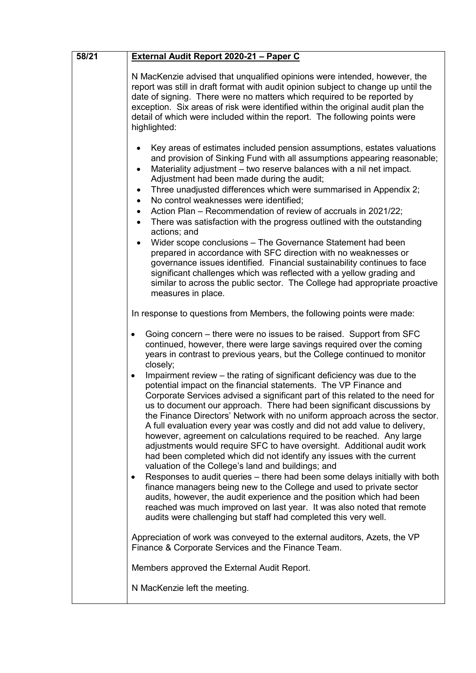| 58/21 | External Audit Report 2020-21 - Paper C                                                                                                                                                                                                                                                                                                                                                                                                                                                                                                                                                                                                                                                                                                                                                                                                                                                                                                                                               |
|-------|---------------------------------------------------------------------------------------------------------------------------------------------------------------------------------------------------------------------------------------------------------------------------------------------------------------------------------------------------------------------------------------------------------------------------------------------------------------------------------------------------------------------------------------------------------------------------------------------------------------------------------------------------------------------------------------------------------------------------------------------------------------------------------------------------------------------------------------------------------------------------------------------------------------------------------------------------------------------------------------|
|       | N MacKenzie advised that unqualified opinions were intended, however, the<br>report was still in draft format with audit opinion subject to change up until the<br>date of signing. There were no matters which required to be reported by<br>exception. Six areas of risk were identified within the original audit plan the<br>detail of which were included within the report. The following points were<br>highlighted:                                                                                                                                                                                                                                                                                                                                                                                                                                                                                                                                                           |
|       | Key areas of estimates included pension assumptions, estates valuations<br>and provision of Sinking Fund with all assumptions appearing reasonable;<br>Materiality adjustment - two reserve balances with a nil net impact.<br>$\bullet$<br>Adjustment had been made during the audit;<br>Three unadjusted differences which were summarised in Appendix 2;<br>No control weaknesses were identified;<br>$\bullet$<br>Action Plan – Recommendation of review of accruals in 2021/22;<br>There was satisfaction with the progress outlined with the outstanding<br>$\bullet$<br>actions; and<br>Wider scope conclusions - The Governance Statement had been<br>prepared in accordance with SFC direction with no weaknesses or<br>governance issues identified. Financial sustainability continues to face<br>significant challenges which was reflected with a yellow grading and<br>similar to across the public sector. The College had appropriate proactive<br>measures in place. |
|       | In response to questions from Members, the following points were made:                                                                                                                                                                                                                                                                                                                                                                                                                                                                                                                                                                                                                                                                                                                                                                                                                                                                                                                |
|       | Going concern – there were no issues to be raised. Support from SFC<br>$\bullet$<br>continued, however, there were large savings required over the coming<br>years in contrast to previous years, but the College continued to monitor<br>closely;<br>Impairment review - the rating of significant deficiency was due to the<br>$\bullet$<br>potential impact on the financial statements. The VP Finance and<br>Corporate Services advised a significant part of this related to the need for<br>us to document our approach. There had been significant discussions by<br>the Finance Directors' Network with no uniform approach across the sector.                                                                                                                                                                                                                                                                                                                               |
|       | A full evaluation every year was costly and did not add value to delivery,<br>however, agreement on calculations required to be reached. Any large<br>adjustments would require SFC to have oversight. Additional audit work<br>had been completed which did not identify any issues with the current<br>valuation of the College's land and buildings; and<br>Responses to audit queries - there had been some delays initially with both<br>$\bullet$<br>finance managers being new to the College and used to private sector<br>audits, however, the audit experience and the position which had been<br>reached was much improved on last year. It was also noted that remote<br>audits were challenging but staff had completed this very well.                                                                                                                                                                                                                                  |
|       | Appreciation of work was conveyed to the external auditors, Azets, the VP<br>Finance & Corporate Services and the Finance Team.                                                                                                                                                                                                                                                                                                                                                                                                                                                                                                                                                                                                                                                                                                                                                                                                                                                       |
|       | Members approved the External Audit Report.                                                                                                                                                                                                                                                                                                                                                                                                                                                                                                                                                                                                                                                                                                                                                                                                                                                                                                                                           |
|       | N MacKenzie left the meeting.                                                                                                                                                                                                                                                                                                                                                                                                                                                                                                                                                                                                                                                                                                                                                                                                                                                                                                                                                         |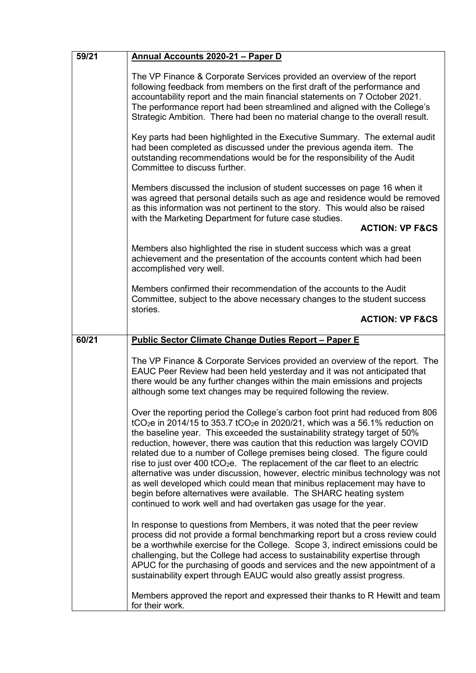| 59/21 | Annual Accounts 2020-21 - Paper D                                                                                                                                                                                                                                                                                                                                                                                                                                                                                                                                                                                                                                                                                                                                                                                                     |
|-------|---------------------------------------------------------------------------------------------------------------------------------------------------------------------------------------------------------------------------------------------------------------------------------------------------------------------------------------------------------------------------------------------------------------------------------------------------------------------------------------------------------------------------------------------------------------------------------------------------------------------------------------------------------------------------------------------------------------------------------------------------------------------------------------------------------------------------------------|
|       | The VP Finance & Corporate Services provided an overview of the report<br>following feedback from members on the first draft of the performance and<br>accountability report and the main financial statements on 7 October 2021.<br>The performance report had been streamlined and aligned with the College's<br>Strategic Ambition. There had been no material change to the overall result.                                                                                                                                                                                                                                                                                                                                                                                                                                       |
|       | Key parts had been highlighted in the Executive Summary. The external audit<br>had been completed as discussed under the previous agenda item. The<br>outstanding recommendations would be for the responsibility of the Audit<br>Committee to discuss further.                                                                                                                                                                                                                                                                                                                                                                                                                                                                                                                                                                       |
|       | Members discussed the inclusion of student successes on page 16 when it<br>was agreed that personal details such as age and residence would be removed<br>as this information was not pertinent to the story. This would also be raised<br>with the Marketing Department for future case studies.<br><b>ACTION: VP F&amp;CS</b>                                                                                                                                                                                                                                                                                                                                                                                                                                                                                                       |
|       |                                                                                                                                                                                                                                                                                                                                                                                                                                                                                                                                                                                                                                                                                                                                                                                                                                       |
|       | Members also highlighted the rise in student success which was a great<br>achievement and the presentation of the accounts content which had been<br>accomplished very well.                                                                                                                                                                                                                                                                                                                                                                                                                                                                                                                                                                                                                                                          |
|       | Members confirmed their recommendation of the accounts to the Audit<br>Committee, subject to the above necessary changes to the student success                                                                                                                                                                                                                                                                                                                                                                                                                                                                                                                                                                                                                                                                                       |
|       | stories.<br><b>ACTION: VP F&amp;CS</b>                                                                                                                                                                                                                                                                                                                                                                                                                                                                                                                                                                                                                                                                                                                                                                                                |
| 60/21 | <b>Public Sector Climate Change Duties Report - Paper E</b>                                                                                                                                                                                                                                                                                                                                                                                                                                                                                                                                                                                                                                                                                                                                                                           |
|       |                                                                                                                                                                                                                                                                                                                                                                                                                                                                                                                                                                                                                                                                                                                                                                                                                                       |
|       | The VP Finance & Corporate Services provided an overview of the report. The<br>EAUC Peer Review had been held yesterday and it was not anticipated that<br>there would be any further changes within the main emissions and projects<br>although some text changes may be required following the review.                                                                                                                                                                                                                                                                                                                                                                                                                                                                                                                              |
|       | Over the reporting period the College's carbon foot print had reduced from 806<br>tCO <sub>2</sub> e in 2014/15 to 353.7 tCO <sub>2</sub> e in 2020/21, which was a 56.1% reduction on<br>the baseline year. This exceeded the sustainability strategy target of 50%<br>reduction, however, there was caution that this reduction was largely COVID<br>related due to a number of College premises being closed. The figure could<br>rise to just over 400 tCO <sub>2</sub> e. The replacement of the car fleet to an electric<br>alternative was under discussion, however, electric minibus technology was not<br>as well developed which could mean that minibus replacement may have to<br>begin before alternatives were available. The SHARC heating system<br>continued to work well and had overtaken gas usage for the year. |
|       | In response to questions from Members, it was noted that the peer review<br>process did not provide a formal benchmarking report but a cross review could<br>be a worthwhile exercise for the College. Scope 3, indirect emissions could be<br>challenging, but the College had access to sustainability expertise through<br>APUC for the purchasing of goods and services and the new appointment of a<br>sustainability expert through EAUC would also greatly assist progress.                                                                                                                                                                                                                                                                                                                                                    |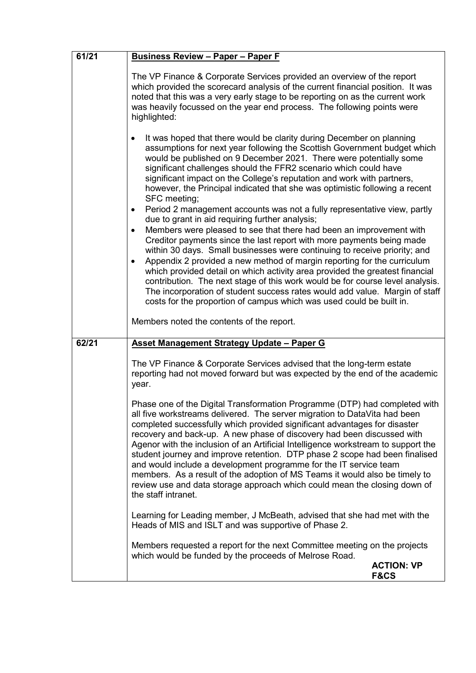| 61/21 | <b>Business Review - Paper - Paper F</b>                                                                                                                                                                                                                                                                                                                                                                                                                                                                                                                                                                                                                                                                                                                                                                                                                                                                                                                                                                                                                                                                                                                                                                                                                                                                                    |
|-------|-----------------------------------------------------------------------------------------------------------------------------------------------------------------------------------------------------------------------------------------------------------------------------------------------------------------------------------------------------------------------------------------------------------------------------------------------------------------------------------------------------------------------------------------------------------------------------------------------------------------------------------------------------------------------------------------------------------------------------------------------------------------------------------------------------------------------------------------------------------------------------------------------------------------------------------------------------------------------------------------------------------------------------------------------------------------------------------------------------------------------------------------------------------------------------------------------------------------------------------------------------------------------------------------------------------------------------|
|       | The VP Finance & Corporate Services provided an overview of the report<br>which provided the scorecard analysis of the current financial position. It was<br>noted that this was a very early stage to be reporting on as the current work<br>was heavily focussed on the year end process. The following points were<br>highlighted:                                                                                                                                                                                                                                                                                                                                                                                                                                                                                                                                                                                                                                                                                                                                                                                                                                                                                                                                                                                       |
|       | It was hoped that there would be clarity during December on planning<br>٠<br>assumptions for next year following the Scottish Government budget which<br>would be published on 9 December 2021. There were potentially some<br>significant challenges should the FFR2 scenario which could have<br>significant impact on the College's reputation and work with partners,<br>however, the Principal indicated that she was optimistic following a recent<br>SFC meeting;<br>Period 2 management accounts was not a fully representative view, partly<br>$\bullet$<br>due to grant in aid requiring further analysis;<br>Members were pleased to see that there had been an improvement with<br>$\bullet$<br>Creditor payments since the last report with more payments being made<br>within 30 days. Small businesses were continuing to receive priority; and<br>Appendix 2 provided a new method of margin reporting for the curriculum<br>$\bullet$<br>which provided detail on which activity area provided the greatest financial<br>contribution. The next stage of this work would be for course level analysis.<br>The incorporation of student success rates would add value. Margin of staff<br>costs for the proportion of campus which was used could be built in.<br>Members noted the contents of the report. |
| 62/21 | Asset Management Strategy Update - Paper G                                                                                                                                                                                                                                                                                                                                                                                                                                                                                                                                                                                                                                                                                                                                                                                                                                                                                                                                                                                                                                                                                                                                                                                                                                                                                  |
|       | The VP Finance & Corporate Services advised that the long-term estate<br>reporting had not moved forward but was expected by the end of the academic<br>year.                                                                                                                                                                                                                                                                                                                                                                                                                                                                                                                                                                                                                                                                                                                                                                                                                                                                                                                                                                                                                                                                                                                                                               |
|       | Phase one of the Digital Transformation Programme (DTP) had completed with<br>all five workstreams delivered. The server migration to DataVita had been<br>completed successfully which provided significant advantages for disaster<br>recovery and back-up. A new phase of discovery had been discussed with<br>Agenor with the inclusion of an Artificial Intelligence workstream to support the<br>student journey and improve retention. DTP phase 2 scope had been finalised<br>and would include a development programme for the IT service team<br>members. As a result of the adoption of MS Teams it would also be timely to<br>review use and data storage approach which could mean the closing down of<br>the staff intranet.                                                                                                                                                                                                                                                                                                                                                                                                                                                                                                                                                                                  |
|       | Learning for Leading member, J McBeath, advised that she had met with the<br>Heads of MIS and ISLT and was supportive of Phase 2.                                                                                                                                                                                                                                                                                                                                                                                                                                                                                                                                                                                                                                                                                                                                                                                                                                                                                                                                                                                                                                                                                                                                                                                           |
|       | Members requested a report for the next Committee meeting on the projects<br>which would be funded by the proceeds of Melrose Road.                                                                                                                                                                                                                                                                                                                                                                                                                                                                                                                                                                                                                                                                                                                                                                                                                                                                                                                                                                                                                                                                                                                                                                                         |
|       | <b>ACTION: VP</b><br><b>F&amp;CS</b>                                                                                                                                                                                                                                                                                                                                                                                                                                                                                                                                                                                                                                                                                                                                                                                                                                                                                                                                                                                                                                                                                                                                                                                                                                                                                        |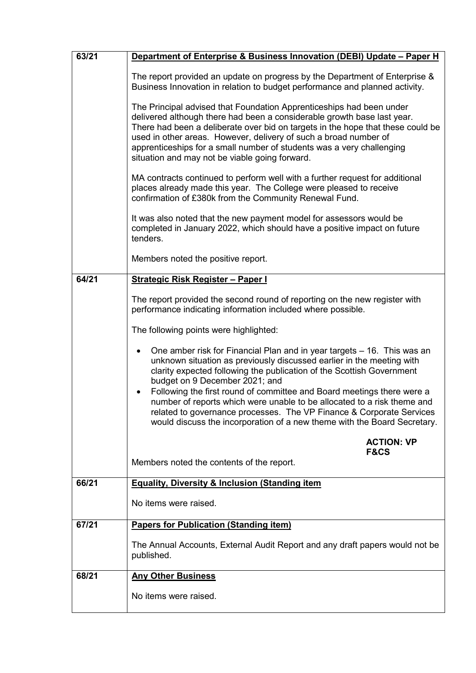| 63/21 | Department of Enterprise & Business Innovation (DEBI) Update - Paper H                                                                                                                                                                                                                                                                                                                                                                                                                                                                                                            |
|-------|-----------------------------------------------------------------------------------------------------------------------------------------------------------------------------------------------------------------------------------------------------------------------------------------------------------------------------------------------------------------------------------------------------------------------------------------------------------------------------------------------------------------------------------------------------------------------------------|
|       | The report provided an update on progress by the Department of Enterprise &<br>Business Innovation in relation to budget performance and planned activity.                                                                                                                                                                                                                                                                                                                                                                                                                        |
|       | The Principal advised that Foundation Apprenticeships had been under<br>delivered although there had been a considerable growth base last year.<br>There had been a deliberate over bid on targets in the hope that these could be<br>used in other areas. However, delivery of such a broad number of<br>apprenticeships for a small number of students was a very challenging<br>situation and may not be viable going forward.                                                                                                                                                 |
|       | MA contracts continued to perform well with a further request for additional<br>places already made this year. The College were pleased to receive<br>confirmation of £380k from the Community Renewal Fund.                                                                                                                                                                                                                                                                                                                                                                      |
|       | It was also noted that the new payment model for assessors would be<br>completed in January 2022, which should have a positive impact on future<br>tenders.                                                                                                                                                                                                                                                                                                                                                                                                                       |
|       | Members noted the positive report.                                                                                                                                                                                                                                                                                                                                                                                                                                                                                                                                                |
| 64/21 | <b>Strategic Risk Register - Paper I</b>                                                                                                                                                                                                                                                                                                                                                                                                                                                                                                                                          |
|       | The report provided the second round of reporting on the new register with<br>performance indicating information included where possible.                                                                                                                                                                                                                                                                                                                                                                                                                                         |
|       | The following points were highlighted:                                                                                                                                                                                                                                                                                                                                                                                                                                                                                                                                            |
|       | One amber risk for Financial Plan and in year targets – 16. This was an<br>unknown situation as previously discussed earlier in the meeting with<br>clarity expected following the publication of the Scottish Government<br>budget on 9 December 2021; and<br>Following the first round of committee and Board meetings there were a<br>$\bullet$<br>number of reports which were unable to be allocated to a risk theme and<br>related to governance processes. The VP Finance & Corporate Services<br>would discuss the incorporation of a new theme with the Board Secretary. |
|       | <b>ACTION: VP</b><br><b>F&amp;CS</b>                                                                                                                                                                                                                                                                                                                                                                                                                                                                                                                                              |
|       | Members noted the contents of the report.                                                                                                                                                                                                                                                                                                                                                                                                                                                                                                                                         |
| 66/21 | <b>Equality, Diversity &amp; Inclusion (Standing item</b>                                                                                                                                                                                                                                                                                                                                                                                                                                                                                                                         |
|       | No items were raised.                                                                                                                                                                                                                                                                                                                                                                                                                                                                                                                                                             |
| 67/21 | <b>Papers for Publication (Standing item)</b>                                                                                                                                                                                                                                                                                                                                                                                                                                                                                                                                     |
|       | The Annual Accounts, External Audit Report and any draft papers would not be<br>published.                                                                                                                                                                                                                                                                                                                                                                                                                                                                                        |
| 68/21 | <b>Any Other Business</b>                                                                                                                                                                                                                                                                                                                                                                                                                                                                                                                                                         |
|       | No items were raised.                                                                                                                                                                                                                                                                                                                                                                                                                                                                                                                                                             |